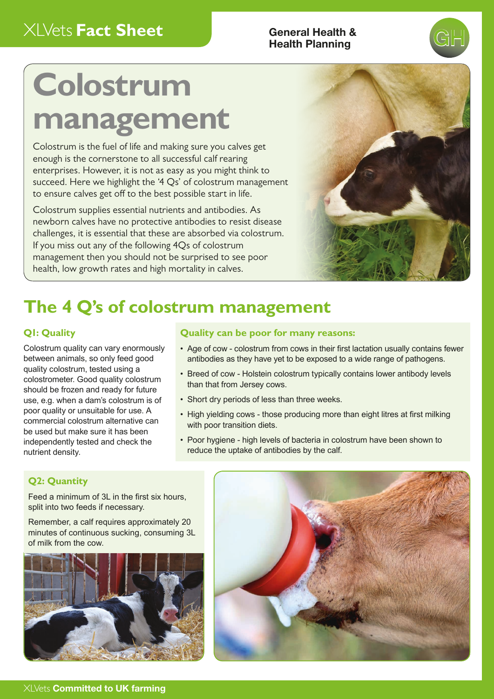## Health Planning

# **GH**

## **Colostrum management**

Colostrum is the fuel of life and making sure you calves get enough is the cornerstone to all successful calf rearing enterprises. However, it is not as easy as you might think to succeed. Here we highlight the '4 Qs' of colostrum management to ensure calves get off to the best possible start in life.

Colostrum supplies essential nutrients and antibodies. As newborn calves have no protective antibodies to resist disease challenges, it is essential that these are absorbed via colostrum. If you miss out any of the following 4Qs of colostrum management then you should not be surprised to see poor health, low growth rates and high mortality in calves.



## **The 4 Q's of colostrum management**

#### **Q1: Quality**

Colostrum quality can vary enormously between animals, so only feed good quality colostrum, tested using a colostrometer. Good quality colostrum should be frozen and ready for future use, e.g. when a dam's colostrum is of poor quality or unsuitable for use. A commercial colostrum alternative can be used but make sure it has been independently tested and check the nutrient density.

#### **Quality can be poor for many reasons:**

- Age of cow colostrum from cows in their first lactation usually contains fewer antibodies as they have yet to be exposed to a wide range of pathogens.
- Breed of cow Holstein colostrum typically contains lower antibody levels than that from Jersey cows.
- Short dry periods of less than three weeks.
- High yielding cows those producing more than eight litres at first milking with poor transition diets.
- Poor hygiene high levels of bacteria in colostrum have been shown to reduce the uptake of antibodies by the calf.

#### **Q2: Quantity**

Feed a minimum of 3L in the first six hours, split into two feeds if necessary.

Remember, a calf requires approximately 20 minutes of continuous sucking, consuming 3L of milk from the cow.